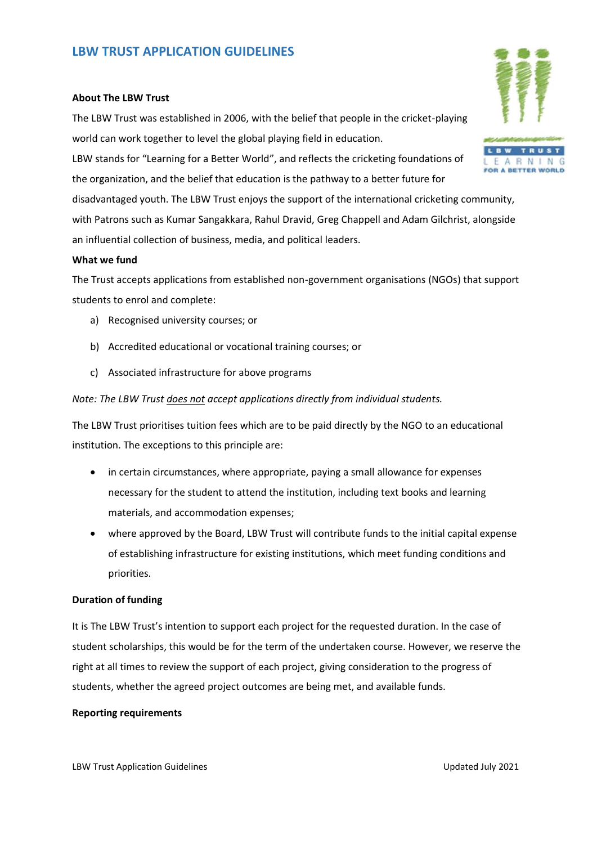# **LBW TRUST APPLICATION GUIDELINES**

#### **About The LBW Trust**

The LBW Trust was established in 2006, with the belief that people in the cricket-playing world can work together to level the global playing field in education.

LBW stands for "Learning for a Better World", and reflects the cricketing foundations of the organization, and the belief that education is the pathway to a better future for

disadvantaged youth. The LBW Trust enjoys the support of the international cricketing community, with Patrons such as Kumar Sangakkara, Rahul Dravid, Greg Chappell and Adam Gilchrist, alongside an influential collection of business, media, and political leaders.

#### **What we fund**

The Trust accepts applications from established non-government organisations (NGOs) that support students to enrol and complete:

- a) Recognised university courses; or
- b) Accredited educational or vocational training courses; or
- c) Associated infrastructure for above programs

### *Note: The LBW Trust does not accept applications directly from individual students.*

The LBW Trust prioritises tuition fees which are to be paid directly by the NGO to an educational institution. The exceptions to this principle are:

- in certain circumstances, where appropriate, paying a small allowance for expenses necessary for the student to attend the institution, including text books and learning materials, and accommodation expenses;
- where approved by the Board, LBW Trust will contribute funds to the initial capital expense of establishing infrastructure for existing institutions, which meet funding conditions and priorities.

## **Duration of funding**

It is The LBW Trust's intention to support each project for the requested duration. In the case of student scholarships, this would be for the term of the undertaken course. However, we reserve the right at all times to review the support of each project, giving consideration to the progress of students, whether the agreed project outcomes are being met, and available funds.

#### **Reporting requirements**